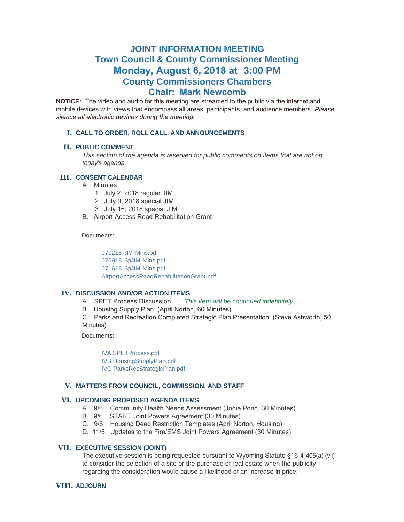# **JOINT INFORMATION MEETING Town Council & County Commissioner Meeting Monday, August 6, 2018 at 3:00 PM County Commissioners Chambers Chair: Mark Newcomb**

**NOTICE**: The video and audio for this meeting are streamed to the public via the internet and mobile devices with views that encompass all areas, participants, and audience members. *Please silence all electronic devices during the meeting.* 

# **CALL TO ORDER, ROLL CALL, AND ANNOUNCEMENTS I.**

# **PUBLIC COMMENT II.**

*This section of the agenda is reserved for public comments on items that are not on today's agenda.*

# **CONSENT CALENDAR III.**

- A. Minutes
	- 1. July 2, 2018 regular JIM
	- 2. July 9, 2018 special JIM
	- 3. July 16, 2018 special JIM
- B. Airport Access Road Rehabilitation Grant

Documents:

[070218-JIM-Mins.pdf](https://www.jacksonwy.gov/AgendaCenter/ViewFile/Item/1337?fileID=3913) [070918-SpJIM-Mins.pdf](https://www.jacksonwy.gov/AgendaCenter/ViewFile/Item/1337?fileID=3910) [071618-SpJIM-Mins.pdf](https://www.jacksonwy.gov/AgendaCenter/ViewFile/Item/1337?fileID=3911) [AirportAccessRoadRehabilitationGrant.pdf](https://www.jacksonwy.gov/AgendaCenter/ViewFile/Item/1337?fileID=3912)

## **IV. DISCUSSION AND/OR ACTION ITEMS**

- A. SPET Process Discussion ... *This item will be continued indefinitely*
- B. Housing Supply Plan (April Norton, 60 Minutes)

C. Parks and Recreation Completed Strategic Plan Presentation (Steve Ashworth, 50 Minutes)

Documents:

[IVA SPETProcess.pdf](https://www.jacksonwy.gov/AgendaCenter/ViewFile/Item/1416?fileID=3908) [IVB HousingSupplyPlan.pdf](https://www.jacksonwy.gov/AgendaCenter/ViewFile/Item/1416?fileID=3914) [IVC ParksRecStrategicPlan.pdf](https://www.jacksonwy.gov/AgendaCenter/ViewFile/Item/1416?fileID=3915)

#### **MATTERS FROM COUNCIL, COMMISSION, AND STAFF V.**

### **UPCOMING PROPOSED AGENDA ITEMS VI.**

- A. 9/6 Community Health Needs Assessment (Jodie Pond, 30 Minutes)
- B. 9/6 START Joint Powers Agreement (30 Minutes)
- C. 9/6 Housing Deed Restriction Templates (April Norton, Housing)
- D. 11/5 Updates to the Fire/EMS Joint Powers Agreement (30 Minutes)

#### **EXECUTIVE SESSION (JOINT) VII.**

The executive session is being requested pursuant to Wyoming Statute §16-4-405(a) (vii) to consider the selection of a site or the purchase of real estate when the publicity regarding the consideration would cause a likelihood of an increase in price.

#### **ADJOURN VIII.**